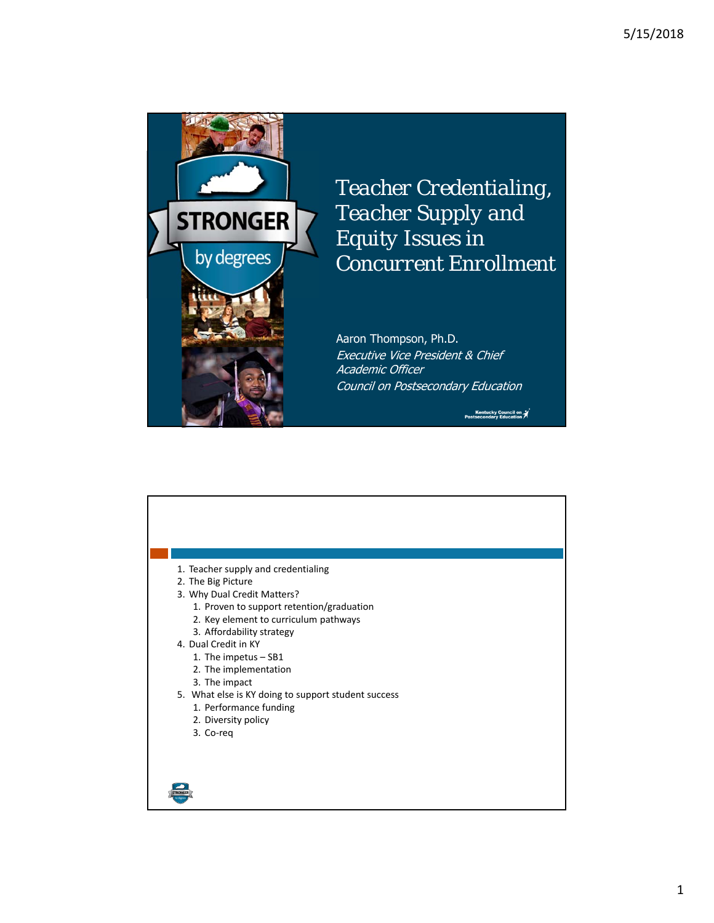

*Teacher Credentialing, Teacher Supply and Equity Issues in Concurrent Enrollment*

Aaron Thompson, Ph.D. Executive Vice President & Chief Academic Officer Council on Postsecondary Education

Kentucky Council on X<br>Postsecondary Education

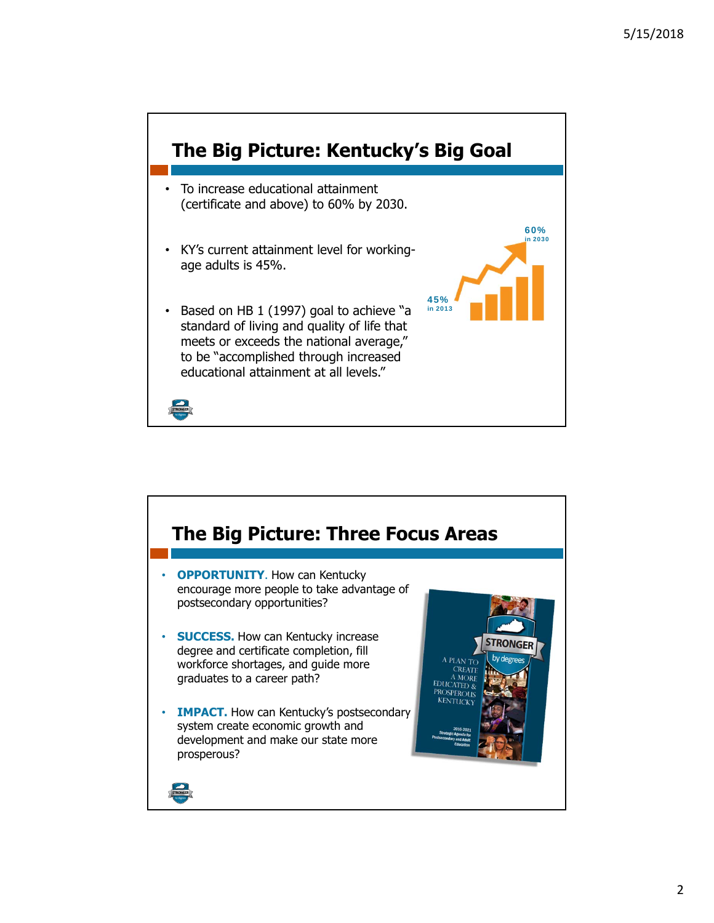

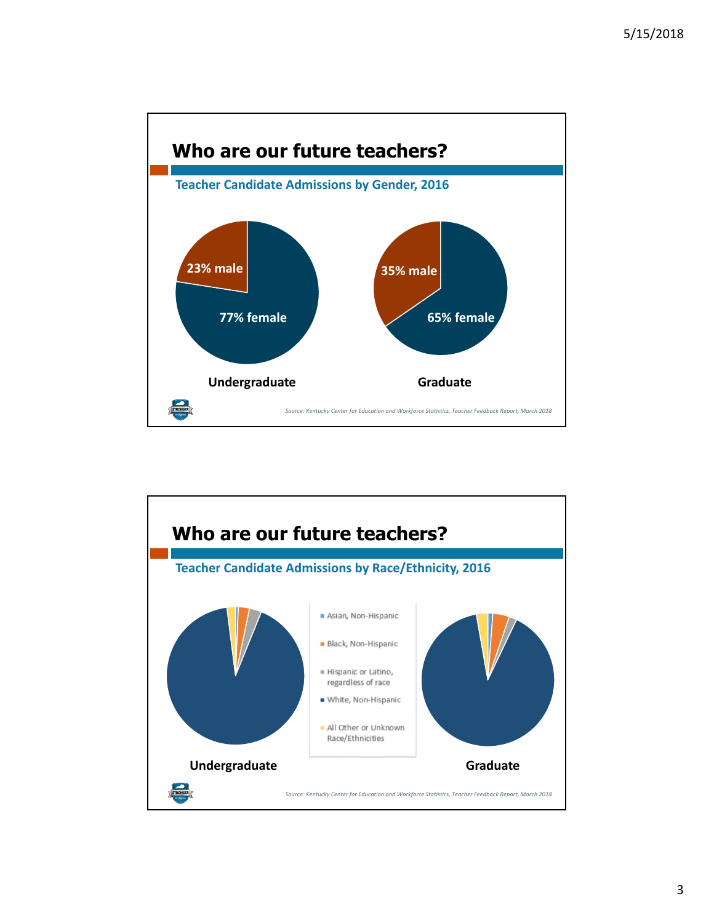

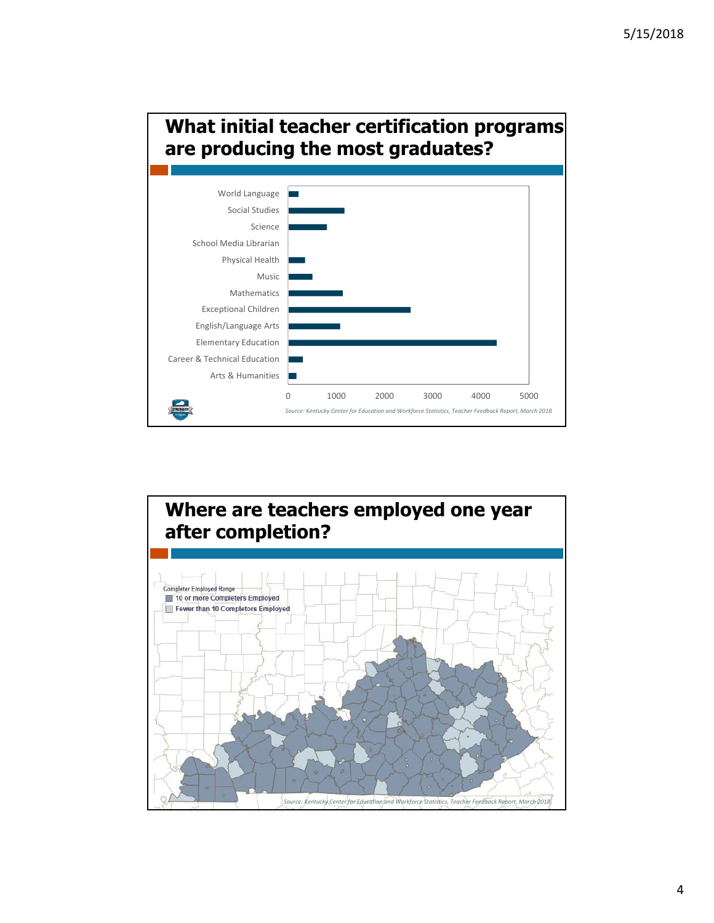## **What initial teacher certification programs are producing the most graduates?**



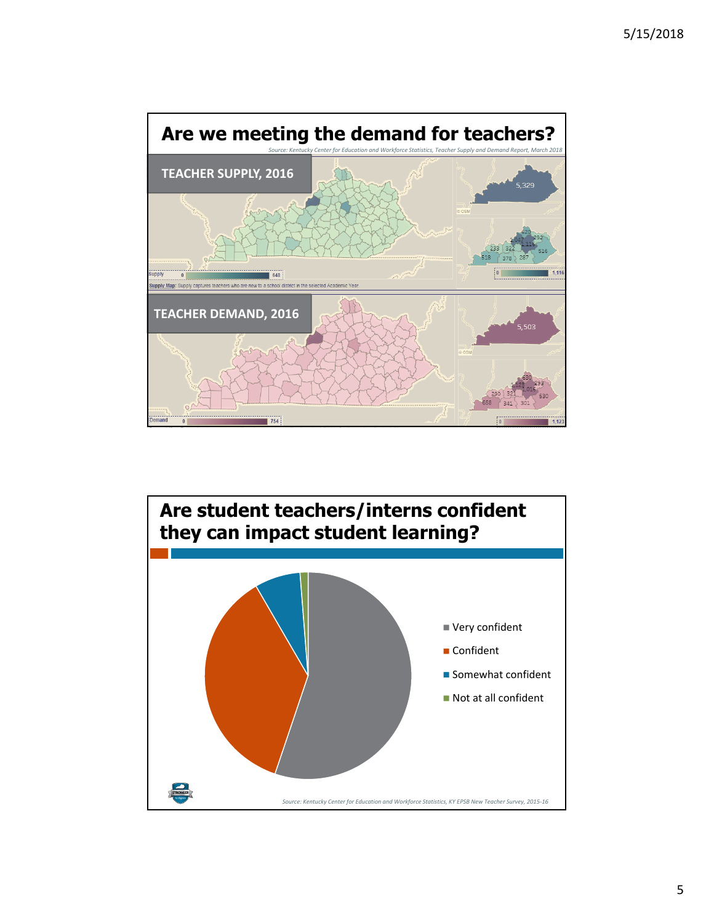

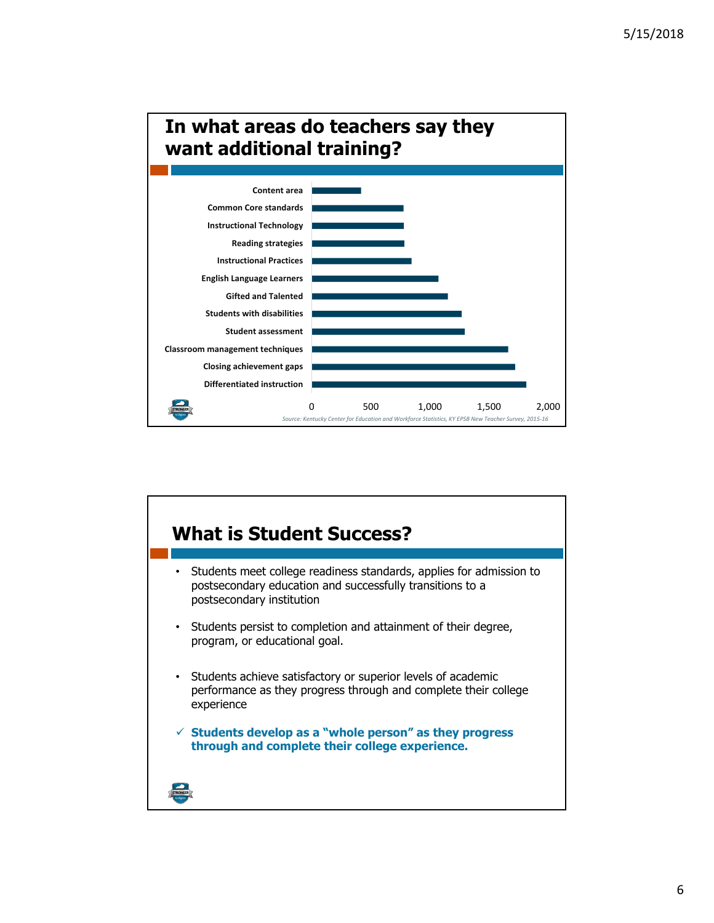

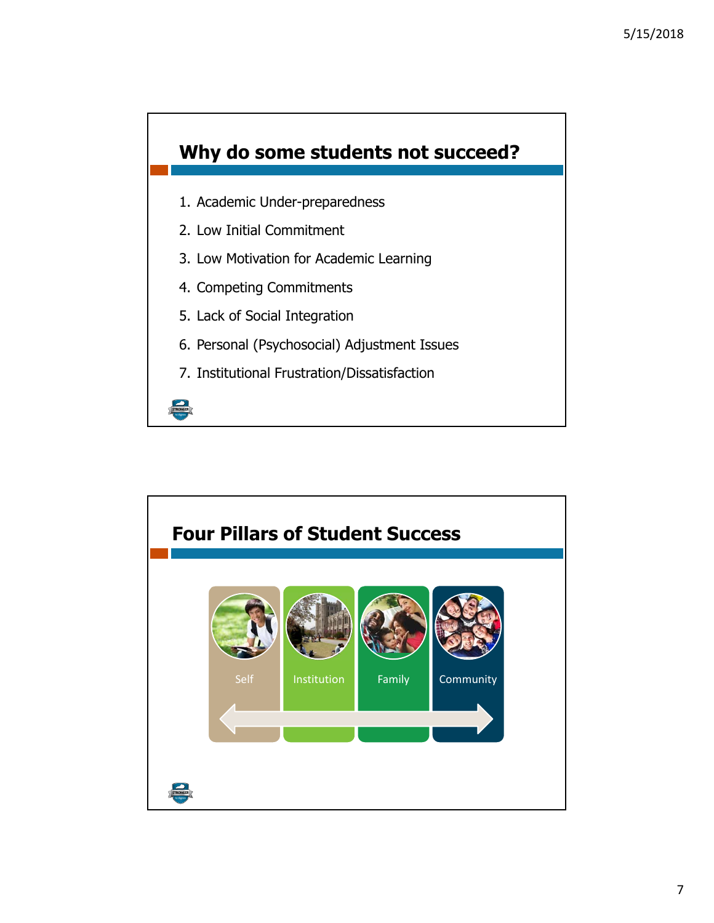

- 1. Academic Under-preparedness
- 2. Low Initial Commitment
- 3. Low Motivation for Academic Learning
- 4. Competing Commitments
- 5. Lack of Social Integration

STRONGER

- 6. Personal (Psychosocial) Adjustment Issues
- 7. Institutional Frustration/Dissatisfaction

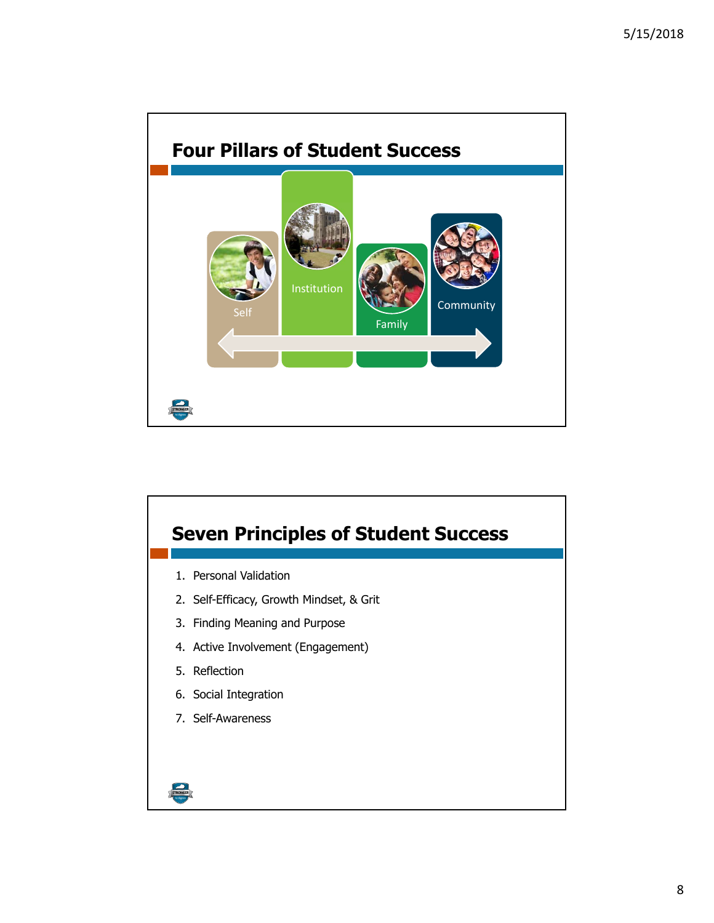

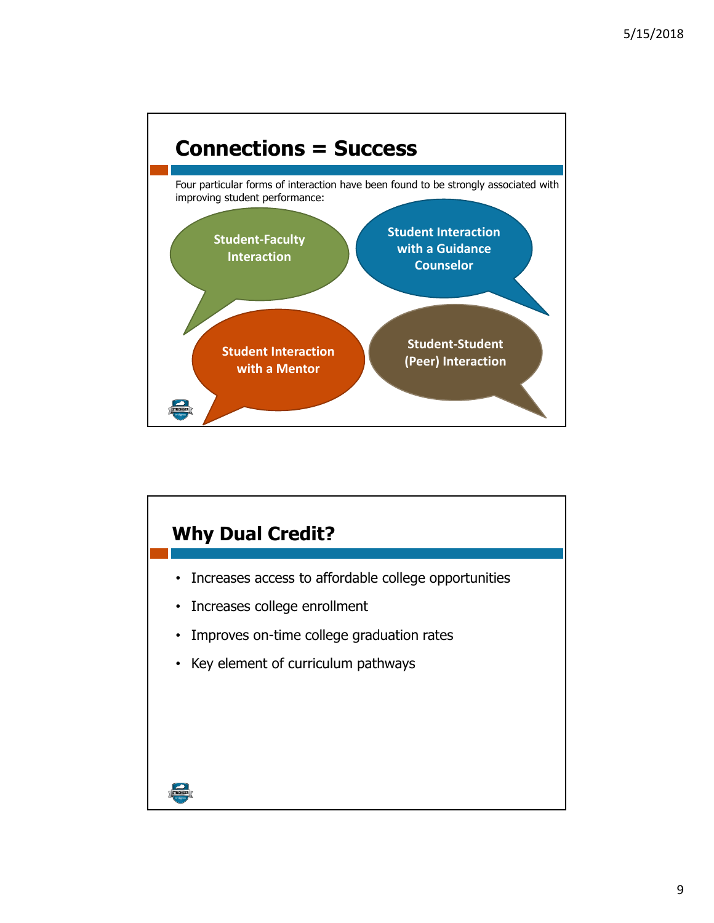

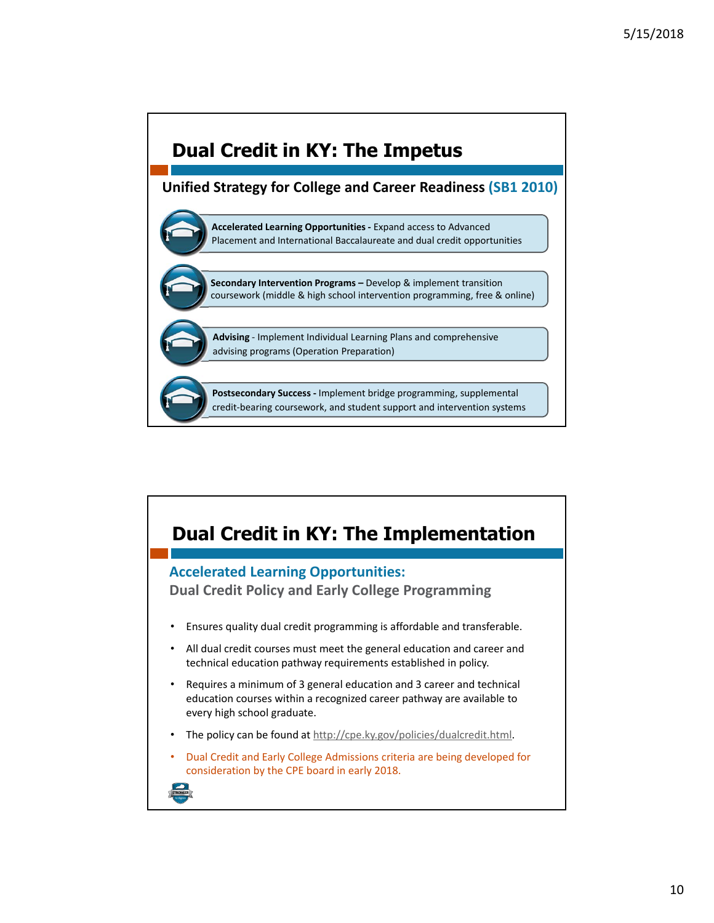

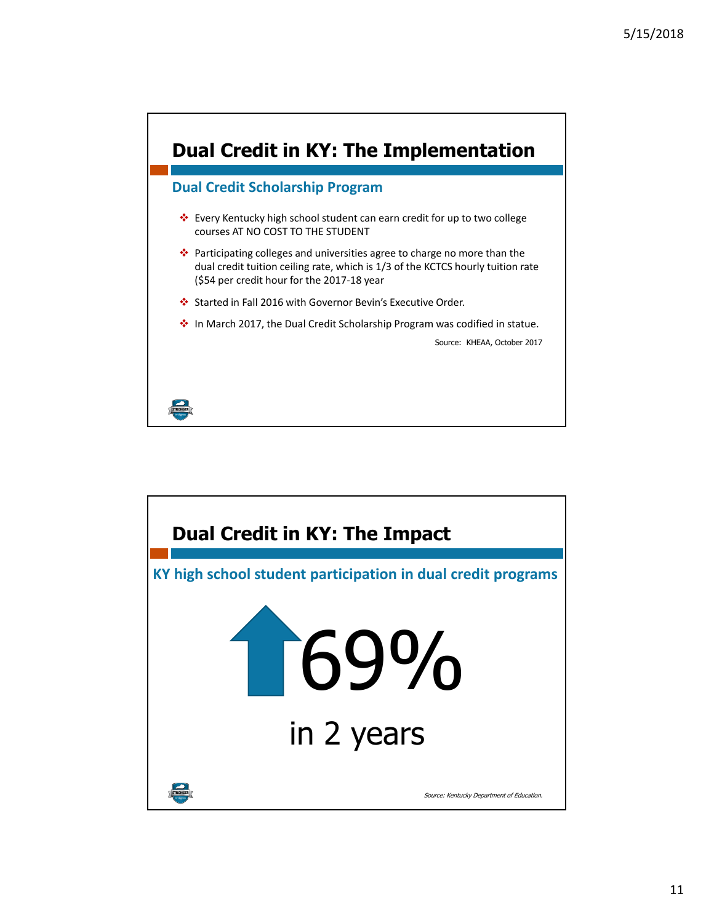

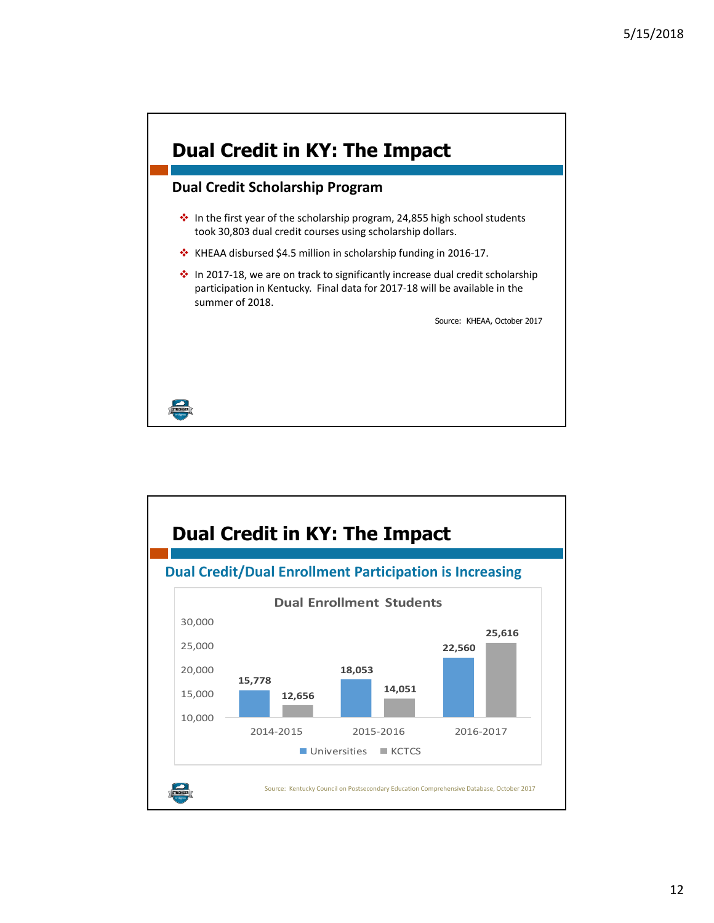

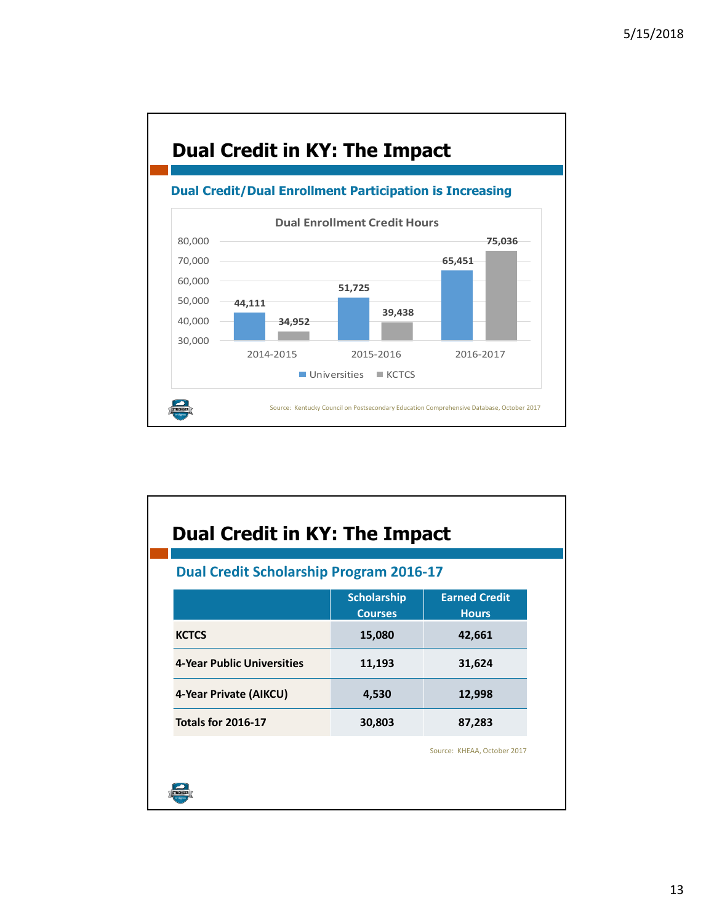

| <b>Dual Credit in KY: The Impact</b><br><b>Dual Credit Scholarship Program 2016-17</b> |                                      |                                      |
|----------------------------------------------------------------------------------------|--------------------------------------|--------------------------------------|
|                                                                                        | <b>Scholarship</b><br><b>Courses</b> | <b>Earned Credit</b><br><b>Hours</b> |
| <b>KCTCS</b>                                                                           | 15,080                               | 42,661                               |
| 4-Year Public Universities                                                             | 11,193                               | 31,624                               |
| 4-Year Private (AIKCU)                                                                 | 4,530                                | 12,998                               |
| <b>Totals for 2016-17</b>                                                              | 30,803                               | 87,283                               |
|                                                                                        |                                      | Source: KHEAA, October 2017          |
|                                                                                        |                                      |                                      |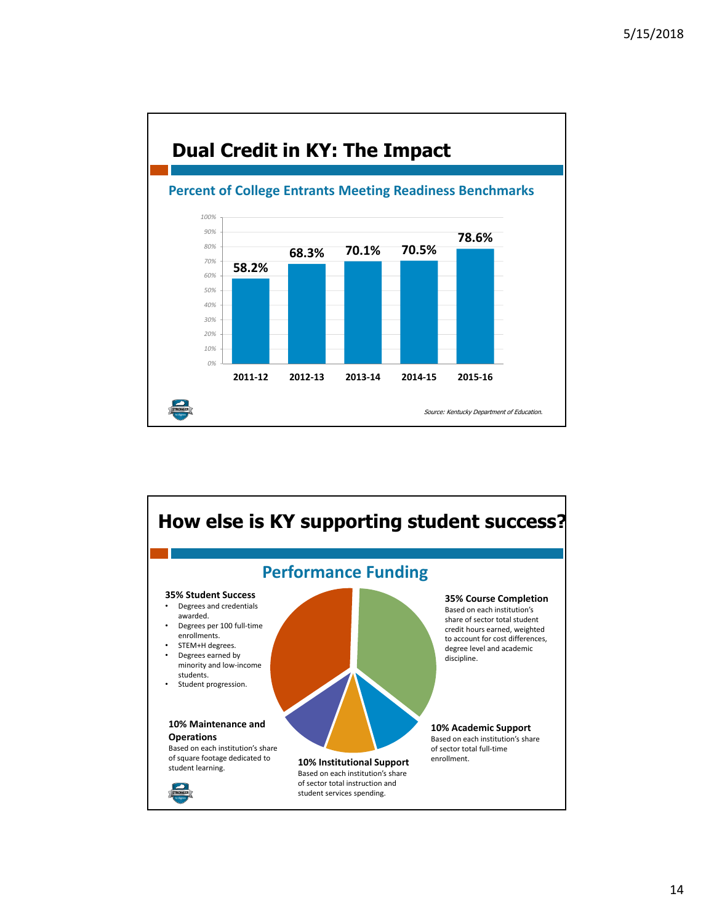

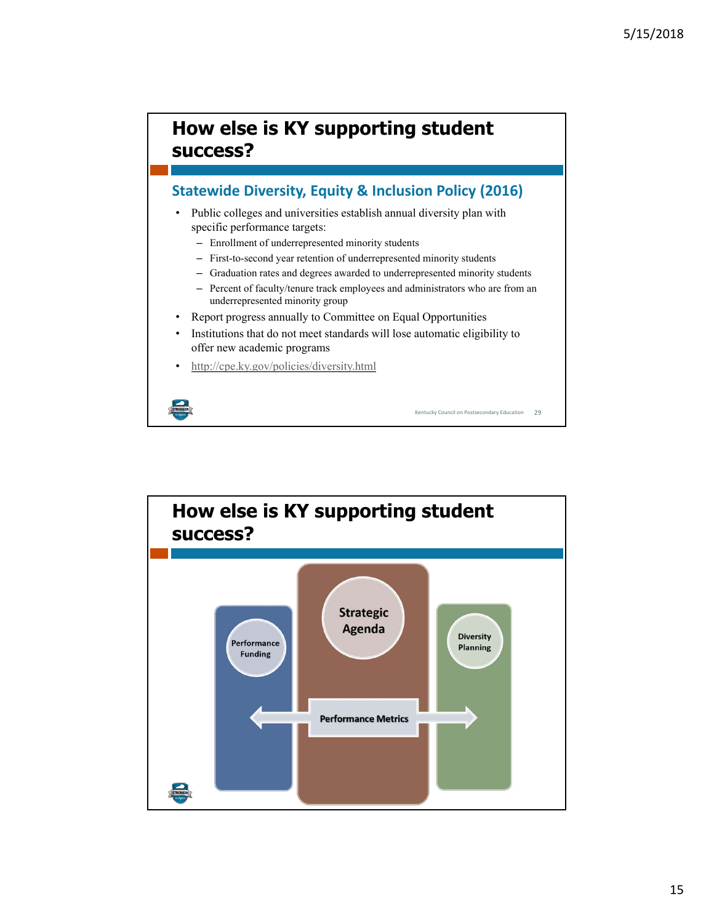## **How else is KY supporting student success?**

## **Statewide Diversity, Equity & Inclusion Policy (2016)**

- Public colleges and universities establish annual diversity plan with specific performance targets:
	- Enrollment of underrepresented minority students
	- First-to-second year retention of underrepresented minority students
	- Graduation rates and degrees awarded to underrepresented minority students
	- Percent of faculty/tenure track employees and administrators who are from an underrepresented minority group

Kentucky Council on Postsecondary Education 29

- Report progress annually to Committee on Equal Opportunities
- Institutions that do not meet standards will lose automatic eligibility to offer new academic programs
- http://cpe.ky.gov/policies/diversity.html

STRONGER

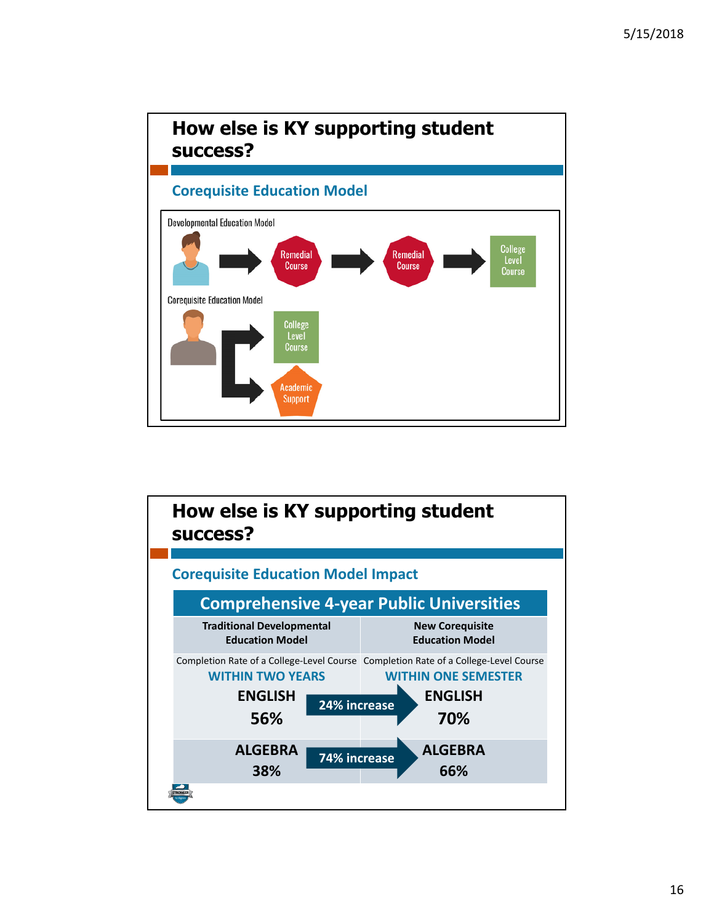

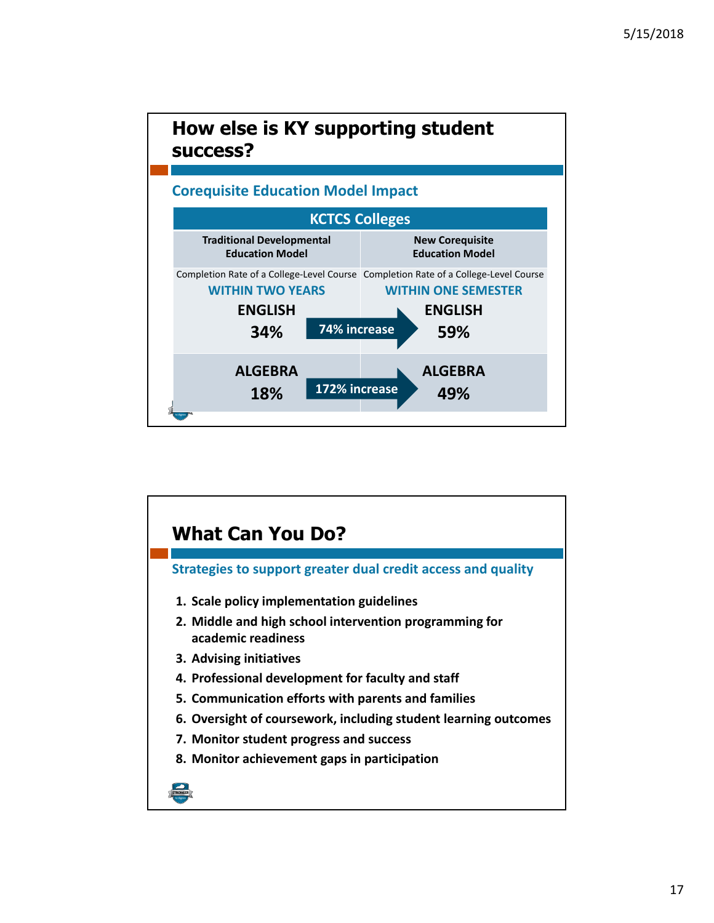